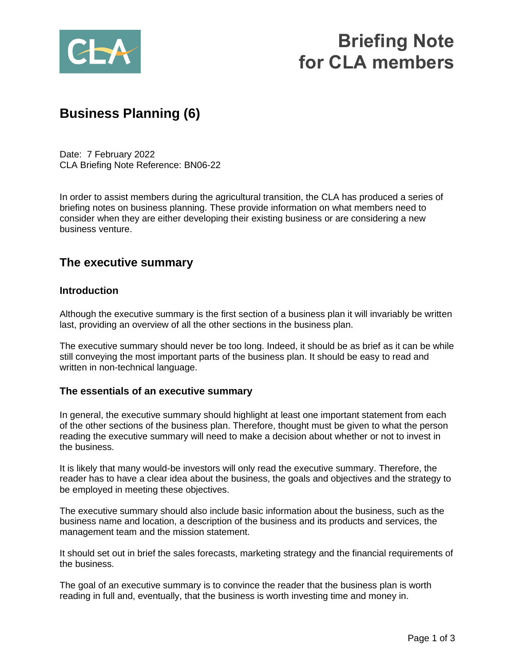

# **Briefing Note for CLA members**

## **Business Planning (6)**

Date: 7 February 2022 CLA Briefing Note Reference: BN06-22

In order to assist members during the agricultural transition, the CLA has produced a series of briefing notes on business planning. These provide information on what members need to consider when they are either developing their existing business or are considering a new business venture.

### **The executive summary**

#### **Introduction**

Although the executive summary is the first section of a business plan it will invariably be written last, providing an overview of all the other sections in the business plan.

The executive summary should never be too long. Indeed, it should be as brief as it can be while still conveying the most important parts of the business plan. It should be easy to read and written in non-technical language.

#### **The essentials of an executive summary**

In general, the executive summary should highlight at least one important statement from each of the other sections of the business plan. Therefore, thought must be given to what the person reading the executive summary will need to make a decision about whether or not to invest in the business.

It is likely that many would-be investors will only read the executive summary. Therefore, the reader has to have a clear idea about the business, the goals and objectives and the strategy to be employed in meeting these objectives.

The executive summary should also include basic information about the business, such as the business name and location, a description of the business and its products and services, the management team and the mission statement.

It should set out in brief the sales forecasts, marketing strategy and the financial requirements of the business.

The goal of an executive summary is to convince the reader that the business plan is worth reading in full and, eventually, that the business is worth investing time and money in.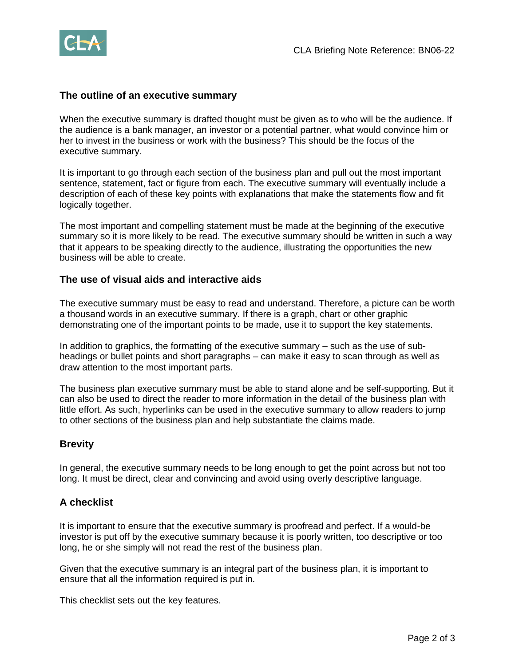

#### **The outline of an executive summary**

When the executive summary is drafted thought must be given as to who will be the audience. If the audience is a bank manager, an investor or a potential partner, what would convince him or her to invest in the business or work with the business? This should be the focus of the executive summary.

It is important to go through each section of the business plan and pull out the most important sentence, statement, fact or figure from each. The executive summary will eventually include a description of each of these key points with explanations that make the statements flow and fit logically together.

The most important and compelling statement must be made at the beginning of the executive summary so it is more likely to be read. The executive summary should be written in such a way that it appears to be speaking directly to the audience, illustrating the opportunities the new business will be able to create.

#### **The use of visual aids and interactive aids**

The executive summary must be easy to read and understand. Therefore, a picture can be worth a thousand words in an executive summary. If there is a graph, chart or other graphic demonstrating one of the important points to be made, use it to support the key statements.

In addition to graphics, the formatting of the executive summary – such as the use of subheadings or bullet points and short paragraphs – can make it easy to scan through as well as draw attention to the most important parts.

The business plan executive summary must be able to stand alone and be self-supporting. But it can also be used to direct the reader to more information in the detail of the business plan with little effort. As such, hyperlinks can be used in the executive summary to allow readers to jump to other sections of the business plan and help substantiate the claims made.

#### **Brevity**

In general, the executive summary needs to be long enough to get the point across but not too long. It must be direct, clear and convincing and avoid using overly descriptive language.

#### **A checklist**

It is important to ensure that the executive summary is proofread and perfect. If a would-be investor is put off by the executive summary because it is poorly written, too descriptive or too long, he or she simply will not read the rest of the business plan.

Given that the executive summary is an integral part of the business plan, it is important to ensure that all the information required is put in.

This checklist sets out the key features.